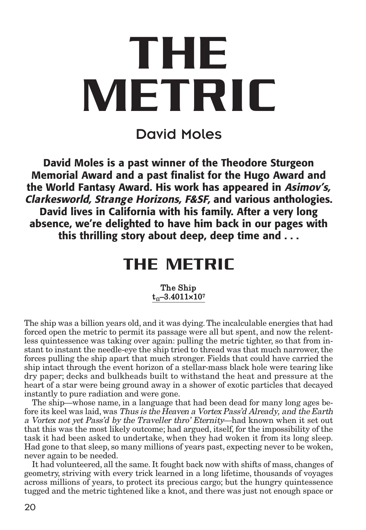# **THE METRIC**

David Moles

**David Moles is a past winner of the Theodore Sturgeon Memorial Award and a past finalist for the Hugo Award and the World Fantasy Award. His work has appeared in Asimov's, Clarkesworld, Strange Horizons, F&SF, and various anthologies. David lives in California with his family. After a very long absence, we're delighted to have him back in our pages with this thrilling story about deep, deep time and . . .**

# **THE METRIC**

#### The Ship  $t_0$ –3.4011×107

The ship was a billion years old, and it was dying.The incalculable energies that had forced open the metric to permit its passage were all but spent, and now the relentless quintessence was taking over again: pulling the metric tighter, so that from instant to instant the needle-eye the ship tried to thread was that much narrower, the forces pulling the ship apart that much stronger. Fields that could have carried the ship intact through the event horizon of a stellar-mass black hole were tearing like dry paper; decks and bulkheads built to withstand the heat and pressure at the heart of a star were being ground away in a shower of exotic particles that decayed instantly to pure radiation and were gone.

The ship—whose name, in a language that had been dead for many long ages before its keel was laid, was Thus is the Heaven <sup>a</sup> Vortex Pass'd Already, and the Earth <sup>a</sup> Vortex not yet Pass'd by the Traveller thro' Eternity—had known when it set out that this was the most likely outcome; had argued, itself, for the impossibility of the task it had been asked to undertake, when they had woken it from its long sleep. Had gone to that sleep, so many millions of years past, expecting never to be woken, never again to be needed.

It had volunteered, all the same. It fought back now with shifts of mass, changes of geometry, striving with every trick learned in a long lifetime, thousands of voyages across millions of years, to protect its precious cargo; but the hungry quintessence tugged and the metric tightened like a knot, and there was just not enough space or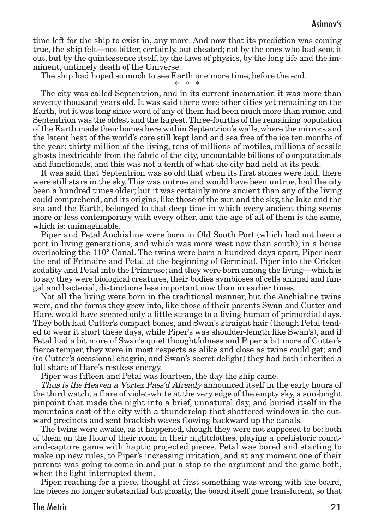time left for the ship to exist in, any more. And now that its prediction was coming true, the ship felt—not bitter, certainly, but cheated; not by the ones who had sent it out, but by the quintessence itself, by the laws of physics, by the long life and the imminent, untimely death of the Universe.

The ship had hoped so much to see Earth one more time, before the end.

\* \* \*

The city was called Septentrion, and in its current incarnation it was more than seventy thousand years old. It was said there were other cities yet remaining on the Earth, but it was long since word of any of them had been much more than rumor, and Septentrion was the oldest and the largest.Three-fourths of the remaining population of the Earth made their homes here within Septentrion's walls, where the mirrors and the latent heat of the world's core still kept land and sea free of the ice ten months of the year: thirty million of the living, tens of millions of motiles, millions of sessile ghosts inextricable from the fabric of the city, uncountable billions of computationals and functionals, and this was not a tenth of what the city had held at its peak.

It was said that Septentrion was so old that when its first stones were laid, there were still stars in the sky.This was untrue and would have been untrue, had the city been a hundred times older; but it was certainly more ancient than any of the living could comprehend, and its origins, like those of the sun and the sky, the lake and the sea and the Earth, belonged to that deep time in which every ancient thing seems more or less contemporary with every other, and the age of all of them is the same, which is: unimaginable.

Piper and Petal Anchialine were born in Old South Port (which had not been a port in living generations, and which was more west now than south), in a house overlooking the 110° Canal. The twins were born a hundred days apart, Piper near the end of Frimaire and Petal at the beginning of Germinal, Piper into the Cricket sodality and Petal into the Primrose; and they were born among the living—which is to say they were biological creatures, their bodies symbioses of cells animal and fungal and bacterial, distinctions less important now than in earlier times.

Not all the living were born in the traditional manner, but the Anchialine twins were, and the forms they grew into, like those of their parents Swan and Cutter and Hare, would have seemed only a little strange to a living human of primordial days. They both had Cutter's compact bones, and Swan's straight hair (though Petal tended to wear it short these days, while Piper's was shoulder-length like Swan's), and if Petal had a bit more of Swan's quiet thoughtfulness and Piper a bit more of Cutter's fierce temper, they were in most respects as alike and close as twins could get; and (to Cutter's occasional chagrin, and Swan's secret delight) they had both inherited a full share of Hare's restless energy.

Piper was fifteen and Petal was fourteen, the day the ship came.

Thus is the Heaven <sup>a</sup> Vortex Pass'd Already announced itself in the early hours of the third watch, a flare of violet-white at the very edge of the empty sky, a sun-bright pinpoint that made the night into a brief, unnatural day, and buried itself in the mountains east of the city with a thunderclap that shattered windows in the outward precincts and sent brackish waves flowing backward up the canals.

The twins were awake, as it happened, though they were not supposed to be: both of them on the floor of their room in their nightclothes, playing a prehistoric countand-capture game with haptic projected pieces. Petal was bored and starting to make up new rules, to Piper's increasing irritation, and at any moment one of their parents was going to come in and put a stop to the argument and the game both, when the light interrupted them.

Piper, reaching for a piece, thought at first something was wrong with the board, the pieces no longer substantial but ghostly, the board itself gone translucent, so that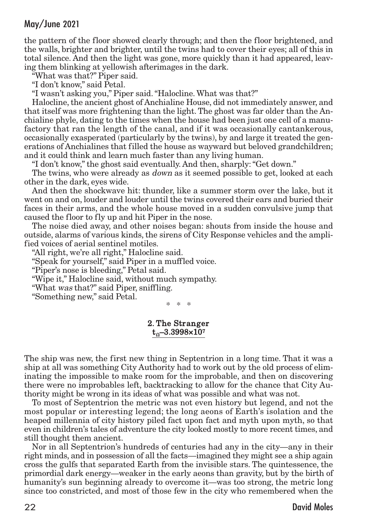the pattern of the floor showed clearly through; and then the floor brightened, and the walls, brighter and brighter, until the twins had to cover their eyes; all of this in total silence. And then the light was gone, more quickly than it had appeared, leaving them blinking at yellowish afterimages in the dark.

"What was that?" Piper said.

"I don't know," said Petal.

"I wasn't asking you," Piper said."Halocline. What was that?"

Halocline, the ancient ghost of Anchialine House, did not immediately answer, and that itself was more frightening than the light.The ghost was far older than the Anchialine phyle, dating to the times when the house had been just one cell of a manufactory that ran the length of the canal, and if it was occasionally cantankerous, occasionally exasperated (particularly by the twins), by and large it treated the generations of Anchialines that filled the house as wayward but beloved grandchildren; and it could think and learn much faster than any living human.

"I don't know," the ghost said eventually. And then, sharply:"Get down."

The twins, who were already as down as it seemed possible to get, looked at each other in the dark, eyes wide.

And then the shockwave hit: thunder, like a summer storm over the lake, but it went on and on, louder and louder until the twins covered their ears and buried their faces in their arms, and the whole house moved in a sudden convulsive jump that caused the floor to fly up and hit Piper in the nose.

The noise died away, and other noises began: shouts from inside the house and outside, alarms of various kinds, the sirens of City Response vehicles and the amplified voices of aerial sentinel motiles.

"All right, we're all right," Halocline said.

"Speak for yourself," said Piper in a muffled voice.

"Piper's nose is bleeding," Petal said.

"Wipe it," Halocline said, without much sympathy.

"What was that?" said Piper, sniffling.

"Something new," said Petal.

\* \* \*

#### 2. The Stranger  $t_{0}$ –3.3998×107

The ship was new, the first new thing in Septentrion in a long time. That it was a ship at all was something City Authority had to work out by the old process of eliminating the impossible to make room for the improbable, and then on discovering there were no improbables left, backtracking to allow for the chance that City Authority might be wrong in its ideas of what was possible and what was not.

To most of Septentrion the metric was not even history but legend, and not the most popular or interesting legend; the long aeons of Earth's isolation and the heaped millennia of city history piled fact upon fact and myth upon myth, so that even in children's tales of adventure the city looked mostly to more recent times, and still thought them ancient.

Nor in all Septentrion's hundreds of centuries had any in the city—any in their right minds, and in possession of all the facts—imagined they might see a ship again cross the gulfs that separated Earth from the invisible stars. The quintessence, the primordial dark energy—weaker in the early aeons than gravity, but by the birth of humanity's sun beginning already to overcome it—was too strong, the metric long since too constricted, and most of those few in the city who remembered when the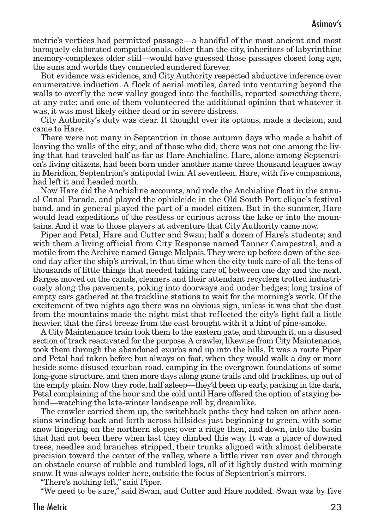metric's vertices had permitted passage—a handful of the most ancient and most baroquely elaborated computationals, older than the city, inheritors of labyrinthine memory-complexes older still—would have guessed those passages closed long ago, the suns and worlds they connected sundered forever.

But evidence was evidence, and City Authority respected abductive inference over enumerative induction. A flock of aerial motiles, dared into venturing beyond the walls to overfly the new valley gouged into the foothills, reported *something* there, at any rate; and one of them volunteered the additional opinion that whatever it was, it was most likely either dead or in severe distress.

City Authority's duty was clear. It thought over its options, made a decision, and came to Hare.

There were not many in Septentrion in those autumn days who made a habit of leaving the walls of the city; and of those who did, there was not one among the living that had traveled half as far as Hare Anchialine. Hare, alone among Septentrion's living citizens, had been born under another name three thousand leagues away in Meridion, Septentrion's antipodal twin. At seventeen, Hare, with five companions, had left it and headed north.

Now Hare did the Anchialine accounts, and rode the Anchialine float in the annual Canal Parade, and played the ophicleide in the Old South Port clique's festival band, and in general played the part of a model citizen. But in the summer, Hare would lead expeditions of the restless or curious across the lake or into the mountains. And it was to those players at adventure that City Authority came now.

Piper and Petal, Hare and Cutter and Swan; half a dozen of Hare's students; and with them a living official from City Response named Tanner Campestral, and a motile from the Archive named Gauge Malpais. They were up before dawn of the second day after the ship's arrival, in that time when the city took care of all the tens of thousands of little things that needed taking care of, between one day and the next. Barges moved on the canals, cleaners and their attendant recyclers trotted industriously along the pavements, poking into doorways and under hedges; long trains of empty cars gathered at the trackline stations to wait for the morning's work. Of the excitement of two nights ago there was no obvious sign, unless it was that the dust from the mountains made the night mist that reflected the city's light fall a little heavier, that the first breeze from the east brought with it a hint of pine-smoke.

A City Maintenance train took them to the eastern gate, and through it, on a disused section of track reactivated for the purpose.A crawler, likewise from City Maintenance, took them through the abandoned exurbs and up into the hills. It was a route Piper and Petal had taken before but always on foot, when they would walk a day or more beside some disused exurban road, camping in the overgrown foundations of some long-gone structure, and then more days along game trails and old tracklines, up out of the empty plain. Now they rode, half asleep—they'd been up early, packing in the dark, Petal complaining of the hour and the cold until Hare offered the option of staying behind—watching the late-winter landscape roll by, dreamlike.

The crawler carried them up, the switchback paths they had taken on other occasions winding back and forth across hillsides just beginning to green, with some snow lingering on the northern slopes; over a ridge then, and down, into the basin that had not been there when last they climbed this way. It was a place of downed trees, needles and branches stripped, their trunks aligned with almost deliberate precision toward the center of the valley, where a little river ran over and through an obstacle course of rubble and tumbled logs, all of it lightly dusted with morning snow. It was always colder here, outside the focus of Septentrion's mirrors.

"There's nothing left," said Piper.

"We need to be sure," said Swan, and Cutter and Hare nodded. Swan was by five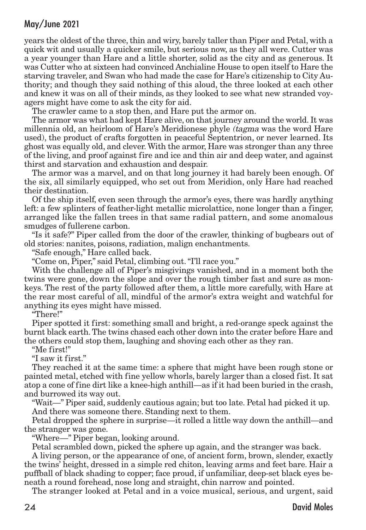years the oldest of the three, thin and wiry, barely taller than Piper and Petal, with a quick wit and usually a quicker smile, but serious now, as they all were. Cutter was a year younger than Hare and a little shorter, solid as the city and as generous. It was Cutter who at sixteen had convinced Anchialine House to open itself to Hare the starving traveler, and Swan who had made the case for Hare's citizenship to City Authority; and though they said nothing of this aloud, the three looked at each other and knew it was on all of their minds, as they looked to see what new stranded voyagers might have come to ask the city for aid.

The crawler came to a stop then, and Hare put the armor on.

The armor was what had kept Hare alive, on that journey around the world. It was millennia old, an heirloom of Hare's Meridionese phyle (tagma was the word Hare used), the product of crafts forgotten in peaceful Septentrion, or never learned. Its ghost was equally old, and clever.With the armor, Hare was stronger than any three of the living, and proof against fire and ice and thin air and deep water, and against thirst and starvation and exhaustion and despair.

The armor was a marvel, and on that long journey it had barely been enough. Of the six, all similarly equipped, who set out from Meridion, only Hare had reached their destination.

Of the ship itself, even seen through the armor's eyes, there was hardly anything left: a few splinters of feather-light metallic microlattice, none longer than a finger, arranged like the fallen trees in that same radial pattern, and some anomalous smudges of fullerene carbon.

"Is it safe?" Piper called from the door of the crawler, thinking of bugbears out of old stories: nanites, poisons, radiation, malign enchantments.

"Safe enough," Hare called back.

"Come on, Piper," said Petal, climbing out."I'll race you."

With the challenge all of Piper's misgivings vanished, and in a moment both the twins were gone, down the slope and over the rough timber fast and sure as monkeys. The rest of the party followed after them, a little more carefully, with Hare at the rear most careful of all, mindful of the armor's extra weight and watchful for anything its eyes might have missed.

"There!"

Piper spotted it first: something small and bright, a red-orange speck against the burnt black earth.The twins chased each other down into the crater before Hare and the others could stop them, laughing and shoving each other as they ran.

"Me first!"

"I saw it first."

They reached it at the same time: a sphere that might have been rough stone or painted metal, etched with fine yellow whorls, barely larger than a closed fist. It sat atop a cone of fine dirt like a knee-high anthill—as if it had been buried in the crash, and burrowed its way out.

"Wait—" Piper said, suddenly cautious again; but too late. Petal had picked it up. And there was someone there. Standing next to them.

Petal dropped the sphere in surprise—it rolled a little way down the anthill—and the stranger was gone.

"Where—" Piper began, looking around.

Petal scrambled down, picked the sphere up again, and the stranger was back.

A living person, or the appearance of one, of ancient form, brown, slender, exactly the twins' height, dressed in a simple red chiton, leaving arms and feet bare. Hair a puffball of black shading to copper; face proud, if unfamiliar, deep-set black eyes beneath a round forehead, nose long and straight, chin narrow and pointed.

The stranger looked at Petal and in a voice musical, serious, and urgent, said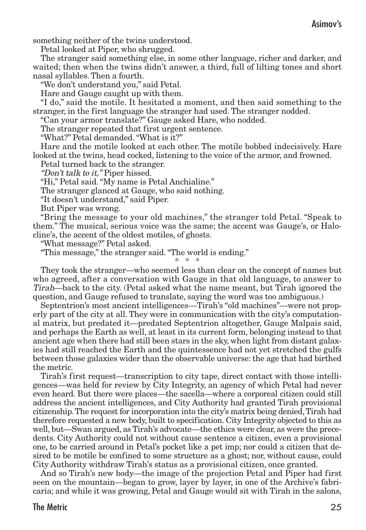something neither of the twins understood.

Petal looked at Piper, who shrugged.

The stranger said something else, in some other language, richer and darker, and waited; then when the twins didn't answer, a third, full of lilting tones and short nasal syllables. Then a fourth.

"We don't understand you," said Petal.

Hare and Gauge caught up with them.

"I do," said the motile. It hesitated a moment, and then said something to the stranger, in the first language the stranger had used. The stranger nodded.

"Can your armor translate?" Gauge asked Hare, who nodded.

The stranger repeated that first urgent sentence.

"What?" Petal demanded."What is it?"

Hare and the motile looked at each other. The motile bobbed indecisively. Hare looked at the twins, head cocked, listening to the voice of the armor, and frowned.

Petal turned back to the stranger.

"Don't talk to it," Piper hissed.

"Hi," Petal said."My name is Petal Anchialine."

The stranger glanced at Gauge, who said nothing.

"It doesn't understand," said Piper.

But Piper was wrong.

"Bring the message to your old machines," the stranger told Petal. "Speak to them." The musical, serious voice was the same; the accent was Gauge's, or Halocline's, the accent of the oldest motiles, of ghosts.

"What message?" Petal asked.

"This message," the stranger said."The world is ending."

\* \* \*

They took the stranger—who seemed less than clear on the concept of names but who agreed, after a conversation with Gauge in that old language, to answer to Tirah—back to the city. (Petal asked what the name meant, but Tirah ignored the question, and Gauge refused to translate, saying the word was too ambiguous.)

Septentrion's most ancient intelligences—Tirah's "old machines"—were not properly part of the city at all. They were in communication with the city's computational matrix, but predated it—predated Septentrion altogether, Gauge Malpais said, and perhaps the Earth as well, at least in its current form, belonging instead to that ancient age when there had still been stars in the sky, when light from distant galaxies had still reached the Earth and the quintessence had not yet stretched the gulfs between those galaxies wider than the observable universe: the age that had birthed the metric.

Tirah's first request—transcription to city tape, direct contact with those intelligences—was held for review by City Integrity, an agency of which Petal had never even heard. But there were places—the sacella—where a corporeal citizen could still address the ancient intelligences, and City Authority had granted Tirah provisional citizenship.The request for incorporation into the city's matrix being denied,Tirah had therefore requested a new body, built to specification. City Integrity objected to this as well, but—Swan argued, as Tirah's advocate—the ethics were clear, as were the precedents. City Authority could not without cause sentence a citizen, even a provisional one, to be carried around in Petal's pocket like a pet imp; nor could a citizen that desired to be motile be confined to some structure as a ghost; nor, without cause, could City Authority withdraw Tirah's status as a provisional citizen, once granted.

And so Tirah's new body—the image of the projection Petal and Piper had first seen on the mountain—began to grow, layer by layer, in one of the Archive's fabricaria; and while it was growing, Petal and Gauge would sit with Tirah in the salons,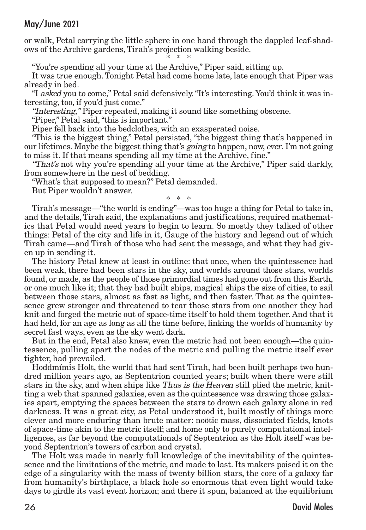or walk, Petal carrying the little sphere in one hand through the dappled leaf-shadows of the Archive gardens, Tirah's projection walking beside.

\* \* \* "You're spending all your time at the Archive," Piper said, sitting up.

It was true enough.Tonight Petal had come home late, late enough that Piper was already in bed.

"I asked you to come," Petal said defensively."It's interesting. You'd think it was interesting, too, if you'd just come."

"Interesting," Piper repeated, making it sound like something obscene.

"Piper," Petal said,"this is important."

Piper fell back into the bedclothes, with an exasperated noise.

"This is the biggest thing," Petal persisted, "the biggest thing that's happened in our lifetimes. Maybe the biggest thing that's going to happen, now, ever. I'm not going to miss it. If that means spending all my time at the Archive, fine."

"That's not why you're spending all your time at the Archive," Piper said darkly, from somewhere in the nest of bedding.

"What's that supposed to mean?" Petal demanded.

But Piper wouldn't answer.

\* \* \*

Tirah's message—"the world is ending"—was too huge a thing for Petal to take in, and the details, Tirah said, the explanations and justifications, required mathematics that Petal would need years to begin to learn. So mostly they talked of other things: Petal of the city and life in it, Gauge of the history and legend out of which Tirah came—and Tirah of those who had sent the message, and what they had given up in sending it.

The history Petal knew at least in outline: that once, when the quintessence had been weak, there had been stars in the sky, and worlds around those stars, worlds found, or made, as the people of those primordial times had gone out from this Earth, or one much like it; that they had built ships, magical ships the size of cities, to sail between those stars, almost as fast as light, and then faster. That as the quintessence grew stronger and threatened to tear those stars from one another they had knit and forged the metric out of space-time itself to hold them together. And that it had held, for an age as long as all the time before, linking the worlds of humanity by secret fast ways, even as the sky went dark.

But in the end, Petal also knew, even the metric had not been enough—the quintessence, pulling apart the nodes of the metric and pulling the metric itself ever tighter, had prevailed.

Hoddmímis Holt, the world that had sent Tirah, had been built perhaps two hundred million years ago, as Septentrion counted years; built when there were still stars in the sky, and when ships like Thus is the Heaven still plied the metric, knitting a web that spanned galaxies, even as the quintessence was drawing those galaxies apart, emptying the spaces between the stars to drown each galaxy alone in red darkness. It was a great city, as Petal understood it, built mostly of things more clever and more enduring than brute matter: noötic mass, dissociated fields, knots of space-time akin to the metric itself; and home only to purely computational intelligences, as far beyond the computationals of Septentrion as the Holt itself was beyond Septentrion's towers of carbon and crystal.

The Holt was made in nearly full knowledge of the inevitability of the quintessence and the limitations of the metric, and made to last. Its makers poised it on the edge of a singularity with the mass of twenty billion stars, the core of a galaxy far from humanity's birthplace, a black hole so enormous that even light would take days to girdle its vast event horizon; and there it spun, balanced at the equilibrium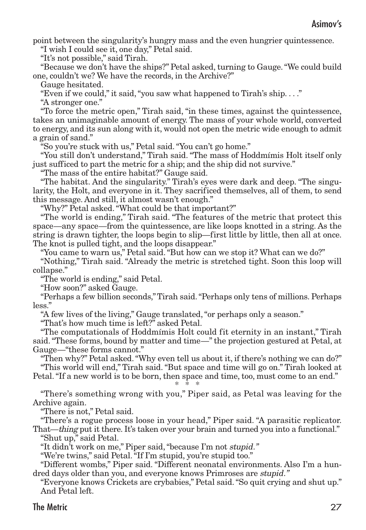point between the singularity's hungry mass and the even hungrier quintessence.

"I wish I could see it, one day," Petal said.

"It's not possible," said Tirah.

"Because we don't have the ships?" Petal asked, turning to Gauge."We could build one, couldn't we? We have the records, in the Archive?"

Gauge hesitated.

"Even if we could," it said,"you saw what happened to Tirah's ship. . . ."

"A stronger one."

"To force the metric open," Tirah said, "in these times, against the quintessence, takes an unimaginable amount of energy. The mass of your whole world, converted to energy, and its sun along with it, would not open the metric wide enough to admit a grain of sand."

"So you're stuck with us," Petal said."You can't go home."

"You still don't understand," Tirah said. "The mass of Hoddmímis Holt itself only just sufficed to part the metric for a ship; and the ship did not survive."

"The mass of the entire habitat?" Gauge said.

"The habitat. And the singularity." Tirah's eyes were dark and deep. "The singularity, the Holt, and everyone in it. They sacrificed themselves, all of them, to send this message. And still, it almost wasn't enough."

"Why?" Petal asked."What could be that important?"

"The world is ending," Tirah said. "The features of the metric that protect this space—any space—from the quintessence, are like loops knotted in a string. As the string is drawn tighter, the loops begin to slip—first little by little, then all at once. The knot is pulled tight, and the loops disappear."

"You came to warn us," Petal said."But how can we stop it? What can we do?"

"Nothing," Tirah said. "Already the metric is stretched tight. Soon this loop will collapse."

"The world is ending," said Petal.

"How soon?" asked Gauge.

"Perhaps a few billion seconds,"Tirah said."Perhaps only tens of millions. Perhaps less."

"A few lives of the living," Gauge translated,"or perhaps only a season."

"That's how much time is left?" asked Petal.

"The computationals of Hoddmímis Holt could fit eternity in an instant," Tirah said."These forms, bound by matter and time—" the projection gestured at Petal, at Gauge—"these forms cannot."

"Then why?" Petal asked."Why even tell us about it, if there's nothing we can do?" "This world will end," Tirah said."But space and time will go on." Tirah looked at Petal."If a new world is to be born, then space and time, too, must come to an end."

#### \* \* \*

"There's something wrong with you," Piper said, as Petal was leaving for the Archive again.

"There is not," Petal said.

"There's a rogue process loose in your head," Piper said. "A parasitic replicator. That—thing put it there. It's taken over your brain and turned you into a functional."

"Shut up," said Petal.

"It didn't work on me," Piper said,"because I'm not stupid."

"We're twins," said Petal."If I'm stupid, you're stupid too."

"Different wombs," Piper said. "Different neonatal environments. Also I'm a hundred days older than you, and everyone knows Primroses are stupid."

"Everyone knows Crickets are crybabies," Petal said."So quit crying and shut up." And Petal left.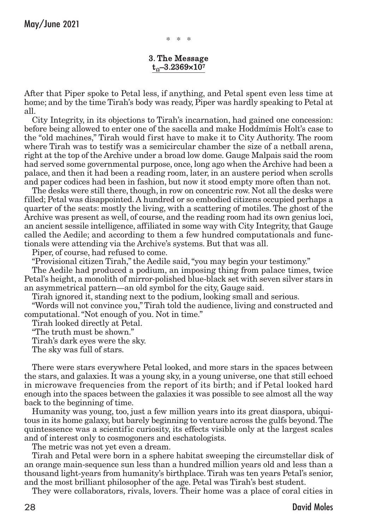\* \* \*

#### 3. The Message  $t_0$ –3.2369×107

After that Piper spoke to Petal less, if anything, and Petal spent even less time at home; and by the time Tirah's body was ready, Piper was hardly speaking to Petal at all.

City Integrity, in its objections to Tirah's incarnation, had gained one concession: before being allowed to enter one of the sacella and make Hoddmímis Holt's case to the "old machines," Tirah would first have to make it to City Authority. The room where Tirah was to testify was a semicircular chamber the size of a netball arena, right at the top of the Archive under a broad low dome. Gauge Malpais said the room had served some governmental purpose, once, long ago when the Archive had been a palace, and then it had been a reading room, later, in an austere period when scrolls and paper codices had been in fashion, but now it stood empty more often than not.

The desks were still there, though, in row on concentric row. Not all the desks were filled; Petal was disappointed. A hundred or so embodied citizens occupied perhaps a quarter of the seats: mostly the living, with a scattering of motiles. The ghost of the Archive was present as well, of course, and the reading room had its own genius loci, an ancient sessile intelligence, affiliated in some way with City Integrity,that Gauge called the Aedile; and according to them a few hundred computationals and functionals were attending via the Archive's systems. But that was all.

Piper, of course, had refused to come.

"Provisional citizen Tirah," the Aedile said,"you may begin your testimony."

The Aedile had produced a podium, an imposing thing from palace times, twice Petal's height, a monolith of mirror-polished blue-black set with seven silver stars in an asymmetrical pattern—an old symbol for the city, Gauge said.

Tirah ignored it, standing next to the podium, looking small and serious.

"Words will not convince you,"Tirah told the audience, living and constructed and computational."Not enough of you. Not in time."

Tirah looked directly at Petal.

"The truth must be shown."

Tirah's dark eyes were the sky.

The sky was full of stars.

There were stars everywhere Petal looked, and more stars in the spaces between the stars, and galaxies. It was a young sky, in a young universe, one that still echoed in microwave frequencies from the report of its birth; and if Petal looked hard enough into the spaces between the galaxies it was possible to see almost all the way back to the beginning of time.

Humanity was young, too, just a few million years into its great diaspora, ubiquitous in its home galaxy, but barely beginning to venture across the gulfs beyond.The quintessence was a scientific curiosity, its effects visible only at the largest scales and of interest only to cosmogoners and eschatologists.

The metric was not yet even a dream.

Tirah and Petal were born in a sphere habitat sweeping the circumstellar disk of an orange main-sequence sun less than a hundred million years old and less than a thousand light-years from humanity's birthplace.Tirah was ten years Petal's senior, and the most brilliant philosopher of the age. Petal was Tirah's best student.

They were collaborators, rivals, lovers. Their home was a place of coral cities in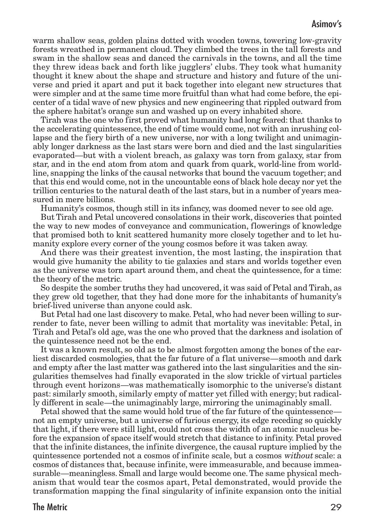warm shallow seas, golden plains dotted with wooden towns, towering low-gravity forests wreathed in permanent cloud. They climbed the trees in the tall forests and swam in the shallow seas and danced the carnivals in the towns, and all the time they threw ideas back and forth like jugglers' clubs. They took what humanity thought it knew about the shape and structure and history and future of the universe and pried it apart and put it back together into elegant new structures that were simpler and at the same time more fruitful than what had come before, the epicenter of a tidal wave of new physics and new engineering that rippled outward from the sphere habitat's orange sun and washed up on every inhabited shore.

Tirah was the one who first proved what humanity had long feared: that thanks to the accelerating quintessence, the end of time would come, not with an inrushing collapse and the fiery birth of a new universe, nor with a long twilight and unimaginably longer darkness as the last stars were born and died and the last singularities evaporated—but with a violent breach, as galaxy was torn from galaxy, star from star, and in the end atom from atom and quark from quark, world-line from worldline, snapping the links of the causal networks that bound the vacuum together; and that this end would come, not in the uncountable eons of black hole decay nor yet the trillion centuries to the natural death of the last stars, but in a number of years measured in mere billions.

Humanity's cosmos, though still in its infancy, was doomed never to see old age.

But Tirah and Petal uncovered consolations in their work, discoveries that pointed the way to new modes of conveyance and communication, flowerings of knowledge that promised both to knit scattered humanity more closely together and to let humanity explore every corner of the young cosmos before it was taken away.

And there was their greatest invention, the most lasting, the inspiration that would give humanity the ability to tie galaxies and stars and worlds together even as the universe was torn apart around them, and cheat the quintessence, for a time: the theory of the metric.

So despite the somber truths they had uncovered, it was said of Petal and Tirah, as they grew old together, that they had done more for the inhabitants of humanity's brief-lived universe than anyone could ask.

But Petal had one last discovery to make. Petal, who had never been willing to surrender to fate, never been willing to admit that mortality was inevitable: Petal, in Tirah and Petal's old age, was the one who proved that the darkness and isolation of the quintessence need not be the end.

It was a known result, so old as to be almost forgotten among the bones of the earliest discarded cosmologies, that the far future of a flat universe—smooth and dark and empty after the last matter was gathered into the last singularities and the singularities themselves had finally evaporated in the slow trickle of virtual particles through event horizons—was mathematically isomorphic to the universe's distant past: similarly smooth, similarly empty of matter yet filled with energy; but radically different in scale—the unimaginably large, mirroring the unimaginably small.

Petal showed that the same would hold true of the far future of the quintessence not an empty universe, but a universe of furious energy, its edge receding so quickly that light, if there were still light, could not cross the width of an atomic nucleus before the expansion of space itself would stretch that distance to infinity. Petal proved that the infinite distances, the infinite divergence, the causal rupture implied by the quintessence portended not a cosmos of infinite scale, but a cosmos without scale: a cosmos of distances that, because infinite, were immeasurable, and because immeasurable—meaningless. Small and large would become one.The same physical mechanism that would tear the cosmos apart, Petal demonstrated, would provide the transformation mapping the final singularity of infinite expansion onto the initial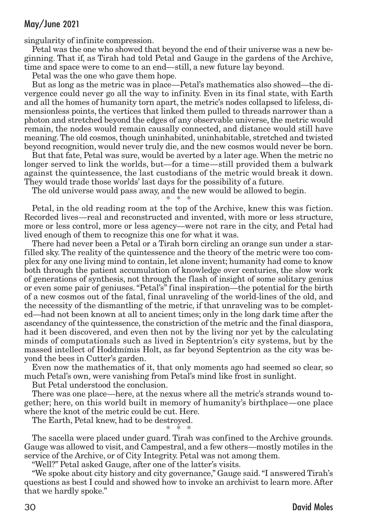singularity of infinite compression.

Petal was the one who showed that beyond the end of their universe was a new beginning. That if, as Tirah had told Petal and Gauge in the gardens of the Archive, time and space were to come to an end—still, a new future lay beyond.

Petal was the one who gave them hope.

But as long as the metric was in place—Petal's mathematics also showed—the divergence could never go all the way to infinity. Even in its final state, with Earth and all the homes of humanity torn apart, the metric's nodes collapsed to lifeless, dimensionless points, the vertices that linked them pulled to threads narrower than a photon and stretched beyond the edges of any observable universe, the metric would remain, the nodes would remain causally connected, and distance would still have meaning.The old cosmos, though uninhabited, uninhabitable, stretched and twisted beyond recognition, would never truly die, and the new cosmos would never be born.

But that fate, Petal was sure, would be averted by a later age.When the metric no longer served to link the worlds, but—for a time—still provided them a bulwark against the quintessence, the last custodians of the metric would break it down. They would trade those worlds' last days for the possibility of a future.

The old universe would pass away, and the new would be allowed to begin. \* \* \*

Petal, in the old reading room at the top of the Archive, knew this was fiction. Recorded lives—real and reconstructed and invented, with more or less structure, more or less control, more or less agency—were not rare in the city, and Petal had lived enough of them to recognize this one for what it was.

There had never been a Petal or a Tirah born circling an orange sun under a starfilled sky.The reality of the quintessence and the theory of the metric were too complex for any one living mind to contain, let alone invent; humanity had come to know both through the patient accumulation of knowledge over centuries, the slow work of generations of synthesis, not through the flash of insight of some solitary genius or even some pair of geniuses."Petal's" final inspiration—the potential for the birth of a new cosmos out of the fatal, final unraveling of the world-lines of the old, and the necessity of the dismantling of the metric, if that unraveling was to be completed—had not been known at all to ancient times; only in the long dark time after the ascendancy of the quintessence, the constriction of the metric and the final diaspora, had it been discovered, and even then not by the living nor yet by the calculating minds of computationals such as lived in Septentrion's city systems, but by the massed intellect of Hoddmímis Holt, as far beyond Septentrion as the city was beyond the bees in Cutter's garden.

Even now the mathematics of it, that only moments ago had seemed so clear, so much Petal's own, were vanishing from Petal's mind like frost in sunlight.

But Petal understood the conclusion.

There was one place—here, at the nexus where all the metric's strands wound together; here, on this world built in memory of humanity's birthplace—one place where the knot of the metric could be cut. Here.

The Earth, Petal knew, had to be destroyed. \* \* \*

The sacella were placed under guard. Tirah was confined to the Archive grounds. Gauge was allowed to visit, and Campestral, and a few others—mostly motiles in the service of the Archive, or of City Integrity. Petal was not among them.

"Well?" Petal asked Gauge, after one of the latter's visits.

"We spoke about city history and city governance," Gauge said."I answered Tirah's questions as best I could and showed how to invoke an archivist to learn more. After that we hardly spoke."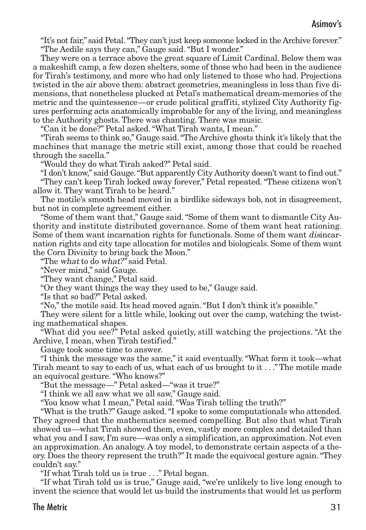"It's not fair," said Petal."They can't just keep someone locked in the Archive forever." "The Aedile says they can," Gauge said."But I wonder."

They were on a terrace above the great square of Limit Cardinal. Below them was a makeshift camp, a few dozen shelters, some of those who had been in the audience for Tirah's testimony, and more who had only listened to those who had. Projections twisted in the air above them: abstract geometries, meaningless in less than five dimensions, that nonetheless plucked at Petal's mathematical dream-memories of the metric and the quintessence—or crude political graffiti, stylized City Authority figures performing acts anatomically improbable for any of the living, and meaningless to the Authority ghosts. There was chanting. There was music.

"Can it be done?" Petal asked."What Tirah wants, I mean."

"Tirah seems to think so," Gauge said."The Archive ghosts think it's likely that the machines that manage the metric still exist, among those that could be reached through the sacella."

"Would they do what Tirah asked?" Petal said.

"I don't know," said Gauge."But apparently City Authority doesn't want to find out." "They can't keep Tirah locked away forever," Petal repeated."These citizens won't allow it. They want Tirah to be heard."

The motile's smooth head moved in a birdlike sideways bob, not in disagreement, but not in complete agreement either.

"Some of them want that," Gauge said."Some of them want to dismantle City Authority and institute distributed governance. Some of them want heat rationing. Some of them want incarnation rights for functionals. Some of them want *disincar*nation rights and city tape allocation for motiles and biologicals. Some of them want the Corn Divinity to bring back the Moon."

"The what to do what?" said Petal.

"Never mind," said Gauge.

"They want change," Petal said.

"Or they want things the way they used to be," Gauge said.

"Is that so bad?" Petal asked.

"No," the motile said. Its head moved again."But I don't think it's possible."

They were silent for a little while, looking out over the camp, watching the twisting mathematical shapes.

"What did you see?" Petal asked quietly, still watching the projections. "At the Archive, I mean, when Tirah testified."

Gauge took some time to answer.

"I think the message was the same," it said eventually. "What form it took—what Tirah meant to say to each of us, what each of us brought to it  $\ldots$ . The motile made an equivocal gesture."Who knows?"

"But the message—" Petal asked—"was it true?"

"I think we all saw what we all saw," Gauge said.

"You know what I mean," Petal said."Was Tirah telling the truth?"

"What is the truth?" Gauge asked."I spoke to some computationals who attended. They agreed that the mathematics seemed compelling. But also that what Tirah showed us—what Tirah showed them, even, vastly more complex and detailed than what you and I saw, I'm sure—was only a simplification, an approximation. Not even an approximation. An analogy. A toy model, to demonstrate certain aspects of a theory. Does the theory represent the truth?" It made the equivocal gesture again."They couldn't say."

"If what Tirah told us is true . . ." Petal began.

"If what Tirah told us is true," Gauge said, "we're unlikely to live long enough to invent the science that would let us build the instruments that would let us perform

#### The Metric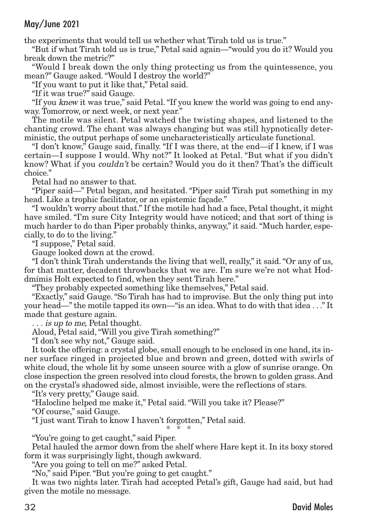the experiments that would tell us whether what Tirah told us is true."

"But if what Tirah told us is true," Petal said again—"would you do it? Would you break down the metric?"

"Would I break down the only thing protecting us from the quintessence, you mean?" Gauge asked."Would I destroy the world?"

"If you want to put it like that," Petal said.

"If it was true?" said Gauge.

"If you knew it was true," said Petal."If you knew the world was going to end anyway. Tomorrow, or next week, or next year."

The motile was silent. Petal watched the twisting shapes, and listened to the chanting crowd. The chant was always changing but was still hypnotically deterministic, the output perhaps of some uncharacteristically articulate functional.

"I don't know," Gauge said, finally. "If I was there, at the end—if I knew, if I was certain—I suppose I would. Why not?" It looked at Petal. "But what if you didn't know? What if you *couldn't* be certain? Would you do it then? That's the difficult choice."

Petal had no answer to that.

"Piper said—" Petal began, and hesitated. "Piper said Tirah put something in my head. Like a trophic facilitator, or an epistemic façade."

"I wouldn't worry about that." If the motile had had a face, Petal thought, it might have smiled. "I'm sure City Integrity would have noticed; and that sort of thing is much harder to do than Piper probably thinks, anyway," it said."Much harder, especially, to do to the living."

"I suppose," Petal said.

Gauge looked down at the crowd.

"I don't think Tirah understands the living that well, really," it said."Or any of us, for that matter, decadent throwbacks that we are. I'm sure we're not what Hoddmímis Holt expected to find, when they sent Tirah here."

"They probably expected something like themselves," Petal said.

"Exactly," said Gauge."So Tirah has had to improvise. But the only thing put into your head—"the motile tapped its own—"is an idea.What to do with that idea . . ." It made that gesture again.

... is up to me, Petal thought.

Aloud, Petal said,"Will you give Tirah something?"

"I don't see why not," Gauge said.

It took the offering: a crystal globe, small enough to be enclosed in one hand, its inner surface ringed in projected blue and brown and green, dotted with swirls of white cloud, the whole lit by some unseen source with a glow of sunrise orange. On close inspection the green resolved into cloud forests, the brown to golden grass. And on the crystal's shadowed side, almost invisible, were the reflections of stars.

"It's very pretty," Gauge said.

"Halocline helped me make it," Petal said."Will you take it? Please?"

"Of course," said Gauge.

"I just want Tirah to know I haven't forgotten," Petal said. \* \* \*

"You're going to get caught," said Piper.

Petal hauled the armor down from the shelf where Hare kept it. In its boxy stored form it was surprisingly light, though awkward.

"Are you going to tell on me?" asked Petal.

"No," said Piper."But you're going to get caught."

It was two nights later. Tirah had accepted Petal's gift, Gauge had said, but had given the motile no message.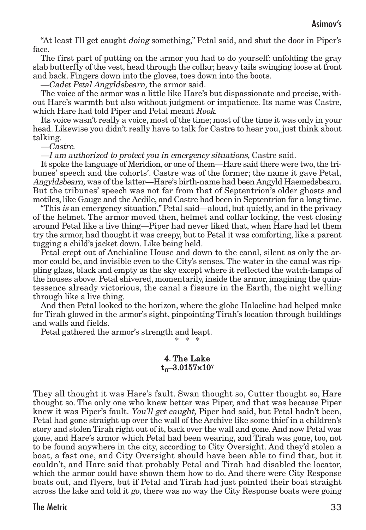"At least I'll get caught doing something," Petal said, and shut the door in Piper's face.

The first part of putting on the armor you had to do yourself: unfolding the gray slab butterfly of the vest, head through the collar; heavy tails swinging loose at front and back. Fingers down into the gloves, toes down into the boots.

—Cadet Petal Angyldsbearn, the armor said.

The voice of the armor was a little like Hare's but dispassionate and precise, without Hare's warmth but also without judgment or impatience. Its name was Castre, which Hare had told Piper and Petal meant Rook.

Its voice wasn't really a voice, most of the time; most of the time it was only in your head. Likewise you didn't really have to talk for Castre to hear you, just think about talking.

—Castre.

—I am authorized to protect you in emergency situations, Castre said.

It spoke the language of Meridion, or one of them—Hare said there were two, the tribunes' speech and the cohorts'. Castre was of the former; the name it gave Petal, Angyldsbearn, was of the latter—Hare's birth-name had been Angyld Haemedsbearn. But the tribunes' speech was not far from that of Septentrion's older ghosts and motiles, like Gauge and the Aedile, and Castre had been in Septentrion for a long time.

"This is an emergency situation," Petal said—aloud, but quietly, and in the privacy of the helmet. The armor moved then, helmet and collar locking, the vest closing around Petal like a live thing—Piper had never liked that, when Hare had let them try the armor, had thought it was creepy, but to Petal it was comforting, like a parent tugging a child's jacket down. Like being held.

Petal crept out of Anchialine House and down to the canal, silent as only the armor could be, and invisible even to the City's senses.The water in the canal was rippling glass, black and empty as the sky except where it reflected the watch-lamps of the houses above. Petal shivered, momentarily, inside the armor, imagining the quintessence already victorious, the canal a fissure in the Earth, the night welling through like a live thing.

And then Petal looked to the horizon, where the globe Halocline had helped make for Tirah glowed in the armor's sight, pinpointing Tirah's location through buildings and walls and fields.

Petal gathered the armor's strength and leapt.

\* \* \*

#### 4. The Lake  $t_{0}$ –3.0157×107

They all thought it was Hare's fault. Swan thought so, Cutter thought so, Hare thought so. The only one who knew better was Piper, and that was because Piper knew it was Piper's fault. You'll get caught, Piper had said, but Petal hadn't been, Petal had gone straight up over the wall of the Archive like some thief in a children's story and stolen Tirah right out of it, back over the wall and gone. And now Petal was gone, and Hare's armor which Petal had been wearing, and Tirah was gone, too, not to be found anywhere in the city, according to City Oversight. And they'd stolen a boat, a fast one, and City Oversight should have been able to find that, but it couldn't, and Hare said that probably Petal and Tirah had disabled the locator, which the armor could have shown them how to do. And there were City Response boats out, and flyers, but if Petal and Tirah had just pointed their boat straight across the lake and told it go, there was no way the City Response boats were going

The Metric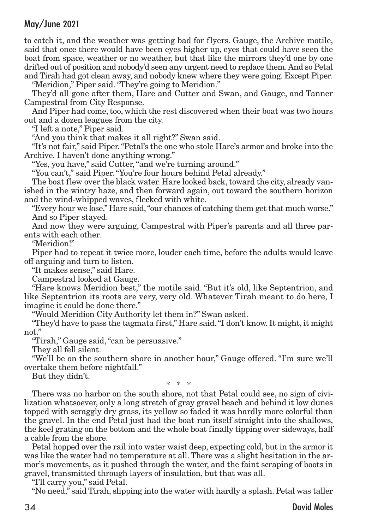to catch it, and the weather was getting bad for flyers. Gauge, the Archive motile, said that once there would have been eyes higher up, eyes that could have seen the boat from space, weather or no weather, but that like the mirrors they'd one by one drifted out of position and nobody'd seen any urgent need to replace them.And so Petal and Tirah had got clean away, and nobody knew where they were going. Except Piper. "Meridion," Piper said."They're going to Meridion."

They'd all gone after them, Hare and Cutter and Swan, and Gauge, and Tanner Campestral from City Response.

And Piper had come, too, which the rest discovered when their boat was two hours out and a dozen leagues from the city.

"I left a note," Piper said.

"And you think that makes it all right?" Swan said.

"It's not fair," said Piper."Petal's the one who stole Hare's armor and broke into the Archive. I haven't done anything wrong."

"Yes, you have," said Cutter,"and we're turning around."

"You can't," said Piper."You're four hours behind Petal already."

The boat flew over the black water. Hare looked back, toward the city, already vanished in the wintry haze, and then forward again, out toward the southern horizon and the wind-whipped waves, flecked with white.

"Every hour we lose," Hare said,"our chances of catching them get that much worse." And so Piper stayed.

And now they were arguing, Campestral with Piper's parents and all three parents with each other.

"Meridion!"

Piper had to repeat it twice more, louder each time, before the adults would leave off arguing and turn to listen.

"It makes sense," said Hare.

Campestral looked at Gauge.

"Hare knows Meridion best," the motile said. "But it's old, like Septentrion, and like Septentrion its roots are very, very old. Whatever Tirah meant to do here, I imagine it could be done there."

"Would Meridion City Authority let them in?" Swan asked.

"They'd have to pass the tagmata first," Hare said."I don't know. It might, it might not."

"Tirah," Gauge said,"can be persuasive."

They all fell silent.

"We'll be on the southern shore in another hour," Gauge offered. "I'm sure we'll overtake them before nightfall."

But they didn't.

\* \* \*

There was no harbor on the south shore, not that Petal could see, no sign of civilization whatsoever, only a long stretch of gray gravel beach and behind it low dunes topped with scraggly dry grass, its yellow so faded it was hardly more colorful than the gravel. In the end Petal just had the boat run itself straight into the shallows, the keel grating on the bottom and the whole boat finally tipping over sideways, half a cable from the shore.

Petal hopped over the rail into water waist deep, expecting cold, but in the armor it was like the water had no temperature at all. There was a slight hesitation in the armor's movements, as it pushed through the water, and the faint scraping of boots in gravel, transmitted through layers of insulation, but that was all.

"I'll carry you," said Petal.

"No need," said Tirah, slipping into the water with hardly a splash. Petal was taller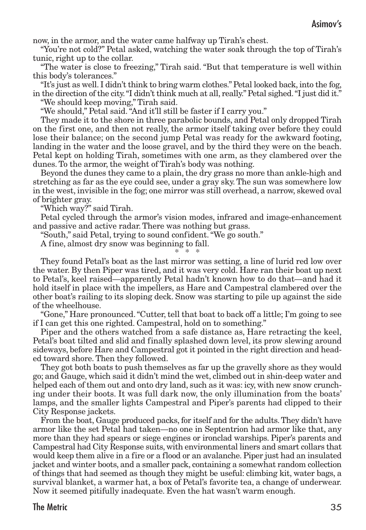now, in the armor, and the water came halfway up Tirah's chest.

"You're not cold?" Petal asked, watching the water soak through the top of Tirah's tunic, right up to the collar.

"The water is close to freezing," Tirah said. "But that temperature is well within this body's tolerances."

"It's just as well. I didn't think to bring warm clothes."Petal looked back, into the fog, in the direction of the city."I didn't think much at all, really."Petal sighed."I just did it."

"We should keep moving," Tirah said.

"We should," Petal said."And it'll still be faster if I carry you."

They made it to the shore in three parabolic bounds, and Petal only dropped Tirah on the first one, and then not really, the armor itself taking over before they could lose their balance; on the second jump Petal was ready for the awkward footing, landing in the water and the loose gravel, and by the third they were on the beach. Petal kept on holding Tirah, sometimes with one arm, as they clambered over the dunes. To the armor, the weight of Tirah's body was nothing.

Beyond the dunes they came to a plain, the dry grass no more than ankle-high and stretching as far as the eye could see, under a gray sky.The sun was somewhere low in the west, invisible in the fog; one mirror was still overhead, a narrow, skewed oval of brighter gray.

"Which way?" said Tirah.

Petal cycled through the armor's vision modes, infrared and image-enhancement and passive and active radar. There was nothing but grass.

"South," said Petal, trying to sound confident."We go south."

A fine, almost dry snow was beginning to fall.

\* \* \*

They found Petal's boat as the last mirror was setting, a line of lurid red low over the water. By then Piper was tired, and it was very cold. Hare ran their boat up next to Petal's, keel raised—apparently Petal hadn't known how to do that—and had it hold itself in place with the impellers, as Hare and Campestral clambered over the other boat's railing to its sloping deck. Snow was starting to pile up against the side of the wheelhouse.

"Gone," Hare pronounced. "Cutter, tell that boat to back off a little; I'm going to see if I can get this one righted. Campestral, hold on to something."

Piper and the others watched from a safe distance as, Hare retracting the keel, Petal's boat tilted and slid and finally splashed down level, its prow slewing around sideways, before Hare and Campestral got it pointed in the right direction and headed toward shore. Then they followed.

They got both boats to push themselves as far up the gravelly shore as they would go; and Gauge, which said it didn't mind the wet, climbed out in shin-deep water and helped each of them out and onto dry land, such as it was: icy, with new snow crunching under their boots. It was full dark now, the only illumination from the boats' lamps, and the smaller lights Campestral and Piper's parents had clipped to their City Response jackets.

From the boat, Gauge produced packs, for itself and for the adults.They didn't have armor like the set Petal had taken—no one in Septentrion had armor like that, any more than they had spears or siege engines or ironclad warships. Piper's parents and Campestral had City Response suits, with environmental liners and smart collars that would keep them alive in a fire or a flood or an avalanche. Piper just had an insulated jacket and winter boots, and a smaller pack, containing a somewhat random collection of things that had seemed as though they might be useful: climbing kit, water bags, a survival blanket, a warmer hat, a box of Petal's favorite tea, a change of underwear. Now it seemed pitifully inadequate. Even the hat wasn't warm enough.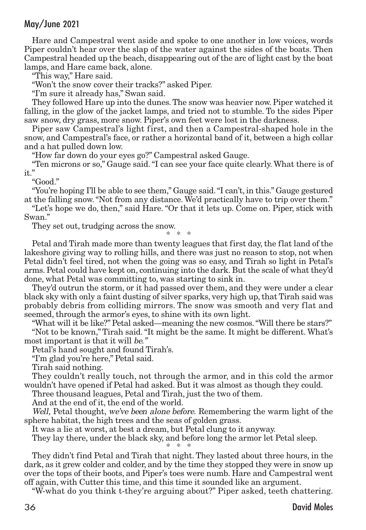Hare and Campestral went aside and spoke to one another in low voices, words Piper couldn't hear over the slap of the water against the sides of the boats. Then Campestral headed up the beach, disappearing out of the arc of light cast by the boat lamps, and Hare came back, alone.

"This way," Hare said.

"Won't the snow cover their tracks?" asked Piper.

"I'm sure it already has," Swan said.

They followed Hare up into the dunes.The snow was heavier now. Piper watched it falling, in the glow of the jacket lamps, and tried not to stumble. To the sides Piper saw snow, dry grass, more snow. Piper's own feet were lost in the darkness.

Piper saw Campestral's light first, and then a Campestral-shaped hole in the snow, and Campestral's face, or rather a horizontal band of it, between a high collar and a hat pulled down low.

"How far down do your eyes go?" Campestral asked Gauge.

"Ten microns or so," Gauge said."I can see your face quite clearly. What there is of it."

"Good."

"You're hoping I'll be able to see them," Gauge said."I can't, in this." Gauge gestured at the falling snow."Not from any distance. We'd practically have to trip over them."

"Let's hope we do, then," said Hare. "Or that it lets up. Come on. Piper, stick with Swan."

They set out, trudging across the snow.

\* \* \*

Petal and Tirah made more than twenty leagues that first day, the flat land of the lakeshore giving way to rolling hills, and there was just no reason to stop, not when Petal didn't feel tired, not when the going was so easy, and Tirah so light in Petal's arms. Petal could have kept on, continuing into the dark. But the scale of what they'd done, what Petal was committing to, was starting to sink in.

They'd outrun the storm, or it had passed over them, and they were under a clear black sky with only a faint dusting of silver sparks, very high up, that Tirah said was probably debris from colliding mirrors. The snow was smooth and very flat and seemed, through the armor's eyes, to shine with its own light.

"What will it be like?" Petal asked—meaning the new cosmos."Will there be stars?" "Not to be known," Tirah said."It might be the same. It might be different. What's most important is that it will be."

Petal's hand sought and found Tirah's.

"I'm glad you're here," Petal said.

Tirah said nothing.

They couldn't really touch, not through the armor, and in this cold the armor wouldn't have opened if Petal had asked. But it was almost as though they could.

Three thousand leagues, Petal and Tirah, just the two of them.

And at the end of it, the end of the world.

Well, Petal thought, we've been alone before. Remembering the warm light of the sphere habitat, the high trees and the seas of golden grass.

It was a lie at worst, at best a dream, but Petal clung to it anyway.

They lay there, under the black sky, and before long the armor let Petal sleep.

\* \* \* They didn't find Petal and Tirah that night. They lasted about three hours, in the dark, as it grew colder and colder, and by the time they stopped they were in snow up over the tops of their boots, and Piper's toes were numb. Hare and Campestral went off again, with Cutter this time, and this time it sounded like an argument.

"W-what do you think t-they're arguing about?" Piper asked, teeth chattering.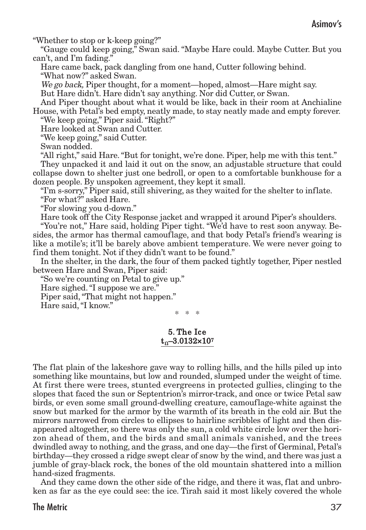"Whether to stop or k-keep going?"

"Gauge could keep going," Swan said. "Maybe Hare could. Maybe Cutter. But you can't, and I'm fading."

Hare came back, pack dangling from one hand, Cutter following behind. "What now?" asked Swan.

We go back, Piper thought, for a moment—hoped, almost—Hare might say.

But Hare didn't. Hare didn't say anything. Nor did Cutter, or Swan.

And Piper thought about what it would be like, back in their room at Anchialine House, with Petal's bed empty, neatly made, to stay neatly made and empty forever. "We keep going," Piper said."Right?"

Hare looked at Swan and Cutter.

"We keep going," said Cutter.

Swan nodded.

"All right," said Hare."But for tonight, we're done. Piper, help me with this tent." They unpacked it and laid it out on the snow, an adjustable structure that could collapse down to shelter just one bedroll, or open to a comfortable bunkhouse for a

dozen people. By unspoken agreement, they kept it small.

"I'm s-sorry," Piper said, still shivering, as they waited for the shelter to inflate. "For what?" asked Hare.

"For slowing you d-down."

Hare took off the City Response jacket and wrapped it around Piper's shoulders.

"You're not," Hare said, holding Piper tight. "We'd have to rest soon anyway. Besides, the armor has thermal camouflage, and that body Petal's friend's wearing is like a motile's; it'll be barely above ambient temperature. We were never going to find them tonight. Not if they didn't want to be found."

In the shelter, in the dark, the four of them packed tightly together, Piper nestled between Hare and Swan, Piper said:

"So we're counting on Petal to give up."

Hare sighed."I suppose we are."

Piper said,"That might not happen."

Hare said,"I know."

\* \* \*

#### 5. The Ice  $t_0$ –3.0132×107

The flat plain of the lakeshore gave way to rolling hills, and the hills piled up into something like mountains, but low and rounded, slumped under the weight of time. At first there were trees, stunted evergreens in protected gullies, clinging to the slopes that faced the sun or Septentrion's mirror-track, and once or twice Petal saw birds, or even some small ground-dwelling creature, camouflage-white against the snow but marked for the armor by the warmth of its breath in the cold air. But the mirrors narrowed from circles to ellipses to hairline scribbles of light and then disappeared altogether, so there was only the sun, a cold white circle low over the horizon ahead of them, and the birds and small animals vanished, and the trees dwindled away to nothing, and the grass, and one day—the first of Germinal, Petal's birthday—they crossed a ridge swept clear of snow by the wind, and there was just a jumble of gray-black rock, the bones of the old mountain shattered into a million hand-sized fragments.

And they came down the other side of the ridge, and there it was, flat and unbroken as far as the eye could see: the ice. Tirah said it most likely covered the whole

The Metric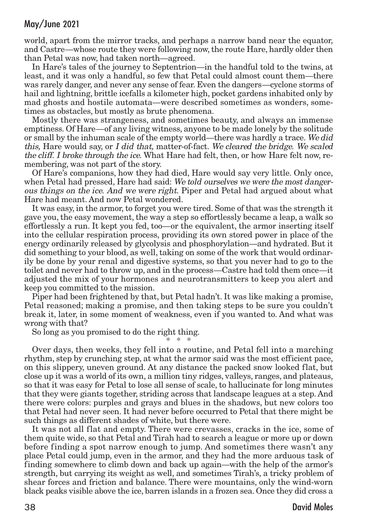world, apart from the mirror tracks, and perhaps a narrow band near the equator, and Castre—whose route they were following now,the route Hare, hardly older then than Petal was now, had taken north—agreed.

In Hare's tales of the journey to Septentrion—in the handful told to the twins, at least, and it was only a handful, so few that Petal could almost count them—there was rarely danger, and never any sense of fear. Even the dangers—cyclone storms of hail and lightning, brittle icefalls a kilometer high, pocket gardens inhabited only by mad ghosts and hostile automata—were described sometimes as wonders, sometimes as obstacles, but mostly as brute phenomena.

Mostly there was strangeness, and sometimes beauty, and always an immense emptiness. Of Hare—of any living witness, anyone to be made lonely by the solitude or small by the inhuman scale of the empty world—there was hardly a trace. We did this, Hare would say, or I did that, matter-of-fact. We cleared the bridge. We scaled the cliff. I broke through the ice. What Hare had felt, then, or how Hare felt now, remembering, was not part of the story.

Of Hare's companions, how they had died, Hare would say very little. Only once, when Petal had pressed, Hare had said: We told ourselves we were the most dangerous things on the ice. And we were right. Piper and Petal had argued about what Hare had meant. And now Petal wondered.

It was easy, in the armor, to forget you were tired. Some of that was the strength it gave you, the easy movement, the way a step so effortlessly became a leap, a walk so effortlessly a run. It kept you fed, too—or the equivalent, the armor inserting itself into the cellular respiration process, providing its own stored power in place of the energy ordinarily released by glycolysis and phosphorylation—and hydrated. But it did something to your blood, as well, taking on some of the work that would ordinarily be done by your renal and digestive systems, so that you never had to go to the toilet and never had to throw up, and in the process—Castre had told them once—it adjusted the mix of your hormones and neurotransmitters to keep you alert and keep you committed to the mission.

Piper had been frightened by that, but Petal hadn't. It was like making a promise, Petal reasoned; making a promise, and then taking steps to be sure you couldn't break it, later, in some moment of weakness, even if you wanted to. And what was wrong with that?

So long as you promised to do the right thing.

\* \* \*

Over days, then weeks, they fell into a routine, and Petal fell into a marching rhythm, step by crunching step, at what the armor said was the most efficient pace, on this slippery, uneven ground. At any distance the packed snow looked flat, but close up it was a world of its own, a million tiny ridges, valleys, ranges, and plateaus, so that it was easy for Petal to lose all sense of scale, to hallucinate for long minutes that they were giants together, striding across that landscape leagues at a step. And there were colors: purples and grays and blues in the shadows, but new colors too that Petal had never seen. It had never before occurred to Petal that there might be such things as different shades of white, but there were.

It was not all flat and empty. There were crevasses, cracks in the ice, some of them quite wide, so that Petal and Tirah had to search a league or more up or down before finding a spot narrow enough to jump. And sometimes there wasn't any place Petal could jump, even in the armor, and they had the more arduous task of finding somewhere to climb down and back up again—with the help of the armor's strength, but carrying its weight as well, and sometimes Tirah's, a tricky problem of shear forces and friction and balance. There were mountains, only the wind-worn black peaks visible above the ice, barren islands in a frozen sea. Once they did cross a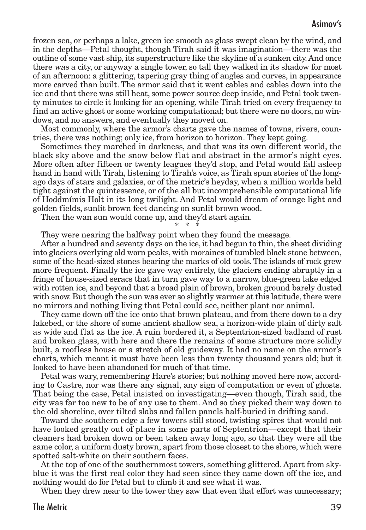frozen sea, or perhaps a lake, green ice smooth as glass swept clean by the wind, and in the depths—Petal thought, though Tirah said it was imagination—there was the outline of some vast ship, its superstructure like the skyline of a sunken city.And once there was a city, or anyway a single tower, so tall they walked in its shadow for most of an afternoon: a glittering, tapering gray thing of angles and curves, in appearance more carved than built. The armor said that it went cables and cables down into the ice and that there was still heat, some power source deep inside, and Petal took twenty minutes to circle it looking for an opening, while Tirah tried on every frequency to find an active ghost or some working computational; but there were no doors, no windows, and no answers, and eventually they moved on.

Most commonly, where the armor's charts gave the names of towns, rivers, countries, there was nothing; only ice, from horizon to horizon. They kept going.

Sometimes they marched in darkness, and that was its own different world, the black sky above and the snow below flat and abstract in the armor's night eyes. More often after fifteen or twenty leagues they'd stop, and Petal would fall asleep hand in hand with Tirah, listening to Tirah's voice, as Tirah spun stories of the longago days of stars and galaxies, or of the metric's heyday, when a million worlds held tight against the quintessence, or of the all but incomprehensible computational life of Hoddmímis Holt in its long twilight. And Petal would dream of orange light and golden fields, sunlit brown feet dancing on sunlit brown wood.

Then the wan sun would come up, and they'd start again.

\* \* \*

They were nearing the halfway point when they found the message.

After a hundred and seventy days on the ice, it had begun to thin, the sheet dividing into glaciers overlying old worn peaks, with moraines of tumbled black stone between, some of the head-sized stones bearing the marks of old tools. The islands of rock grew more frequent. Finally the ice gave way entirely, the glaciers ending abruptly in a fringe of house-sized seracs that in turn gave way to a narrow, blue-green lake edged with rotten ice, and beyond that a broad plain of brown, broken ground barely dusted with snow. But though the sun was ever so slightly warmer at this latitude, there were no mirrors and nothing living that Petal could see, neither plant nor animal.

They came down off the ice onto that brown plateau, and from there down to a dry lakebed, or the shore of some ancient shallow sea, a horizon-wide plain of dirty salt as wide and flat as the ice. A ruin bordered it, a Septentrion-sized badland of rust and broken glass, with here and there the remains of some structure more solidly built, a roofless house or a stretch of old guideway. It had no name on the armor's charts, which meant it must have been less than twenty thousand years old; but it looked to have been abandoned for much of that time.

Petal was wary, remembering Hare's stories; but nothing moved here now, according to Castre, nor was there any signal, any sign of computation or even of ghosts. That being the case, Petal insisted on investigating—even though, Tirah said, the city was far too new to be of any use to them. And so they picked their way down to the old shoreline, over tilted slabs and fallen panels half-buried in drifting sand.

Toward the southern edge a few towers still stood, twisting spires that would not have looked greatly out of place in some parts of Septentrion—except that their cleaners had broken down or been taken away long ago, so that they were all the same color, a uniform dusty brown, apart from those closest to the shore, which were spotted salt-white on their southern faces.

At the top of one of the southernmost towers, something glittered. Apart from skyblue it was the first real color they had seen since they came down off the ice, and nothing would do for Petal but to climb it and see what it was.

When they drew near to the tower they saw that even that effort was unnecessary;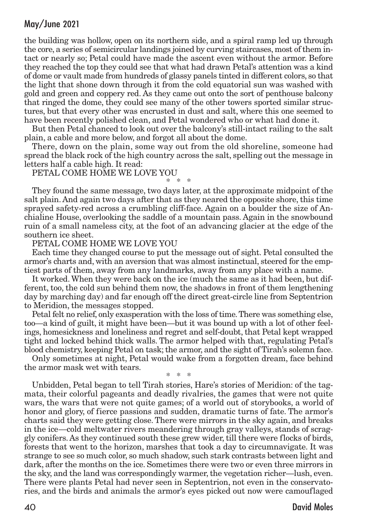the building was hollow, open on its northern side, and a spiral ramp led up through the core, a series of semicircular landings joined by curving staircases, most of them intact or nearly so; Petal could have made the ascent even without the armor. Before they reached the top they could see that what had drawn Petal's attention was a kind of dome or vault made from hundreds of glassy panels tinted in different colors, so that the light that shone down through it from the cold equatorial sun was washed with gold and green and coppery red. As they came out onto the sort of penthouse balcony that ringed the dome, they could see many of the other towers sported similar structures, but that every other was encrusted in dust and salt, where this one seemed to have been recently polished clean, and Petal wondered who or what had done it.

But then Petal chanced to look out over the balcony's still-intact railing to the salt plain, a cable and more below, and forgot all about the dome.

There, down on the plain, some way out from the old shoreline, someone had spread the black rock of the high country across the salt, spelling out the message in letters half a cable high. It read:

PETAL COME HOME WE LOVE YOU \* \* \*

They found the same message, two days later, at the approximate midpoint of the salt plain. And again two days after that as they neared the opposite shore, this time sprayed safety-red across a crumbling cliff-face. Again on a boulder the size of Anchialine House, overlooking the saddle of a mountain pass. Again in the snowbound ruin of a small nameless city, at the foot of an advancing glacier at the edge of the southern ice sheet.

#### PETAL COME HOME WE LOVE YOU

Each time they changed course to put the message out of sight. Petal consulted the armor's charts and, with an aversion that was almost instinctual, steered for the emptiest parts of them, away from any landmarks, away from any place with a name.

It worked.When they were back on the ice (much the same as it had been, but different, too, the cold sun behind them now, the shadows in front of them lengthening day by marching day) and far enough off the direct great-circle line from Septentrion to Meridion, the messages stopped.

Petal felt no relief, only exasperation with the loss of time.There was something else, too—a kind of guilt, it might have been—but it was bound up with a lot of other feelings, homesickness and loneliness and regret and self-doubt, that Petal kept wrapped tight and locked behind thick walls. The armor helped with that, regulating Petal's blood chemistry, keeping Petal on task; the armor, and the sight of Tirah's solemn face.

Only sometimes at night, Petal would wake from a forgotten dream, face behind the armor mask wet with tears.

\* \* \*

Unbidden, Petal began to tell Tirah stories, Hare's stories of Meridion: of the tagmata, their colorful pageants and deadly rivalries, the games that were not quite wars, the wars that were not quite games; of a world out of storybooks, a world of honor and glory, of fierce passions and sudden, dramatic turns of fate. The armor's charts said they were getting close.There were mirrors in the sky again, and breaks in the ice—cold meltwater rivers meandering through gray valleys, stands of scraggly conifers. As they continued south these grew wider,till there were flocks of birds, forests that went to the horizon, marshes that took a day to circumnavigate. It was strange to see so much color, so much shadow, such stark contrasts between light and dark, after the months on the ice. Sometimes there were two or even three mirrors in the sky, and the land was correspondingly warmer, the vegetation richer—lush, even. There were plants Petal had never seen in Septentrion, not even in the conservatories, and the birds and animals the armor's eyes picked out now were camouflaged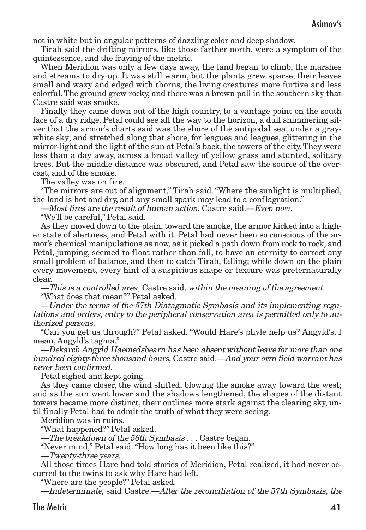not in white but in angular patterns of dazzling color and deep shadow.

Tirah said the drifting mirrors, like those farther north, were a symptom of the quintessence, and the fraying of the metric.

When Meridion was only a few days away, the land began to climb, the marshes and streams to dry up. It was still warm, but the plants grew sparse, their leaves small and waxy and edged with thorns, the living creatures more furtive and less colorful.The ground grew rocky, and there was a brown pall in the southern sky that Castre said was smoke.

Finally they came down out of the high country, to a vantage point on the south face of a dry ridge. Petal could see all the way to the horizon, a dull shimmering silver that the armor's charts said was the shore of the antipodal sea, under a graywhite sky; and stretched along that shore, for leagues and leagues, glittering in the mirror-light and the light of the sun at Petal's back, the towers of the city. They were less than a day away, across a broad valley of yellow grass and stunted, solitary trees. But the middle distance was obscured, and Petal saw the source of the overcast, and of the smoke.

The valley was on fire.

"The mirrors are out of alignment," Tirah said."Where the sunlight is multiplied, the land is hot and dry, and any small spark may lead to a conflagration."

—Most fires are the result of human action, Castre said.—Even now.

"We'll be careful," Petal said.

As they moved down to the plain, toward the smoke, the armor kicked into a higher state of alertness, and Petal with it. Petal had never been so conscious of the armor's chemical manipulations as now, as it picked a path down from rock to rock, and Petal, jumping, seemed to float rather than fall, to have an eternity to correct any small problem of balance, and then to catch Tirah, falling; while down on the plain every movement, every hint of a suspicious shape or texture was preternaturally clear.

—This is <sup>a</sup> controlled area, Castre said, within the meaning of the agreement. "What does that mean?" Petal asked.

—Under the terms of the 57th Diatagmatic Symbasis and its implementing regulations and orders, entry to the peripheral conservation area is permitted only to authorized persons.

"Can you get us through?" Petal asked. "Would Hare's phyle help us? Angyld's, I mean, Angyld's tagma."

—Dekarch Angyld Haemedsbearn has been absent without leave for more than one hundred eighty-three thousand hours, Castre said.—And your own field warrant has never been confirmed.

Petal sighed and kept going.

As they came closer, the wind shifted, blowing the smoke away toward the west; and as the sun went lower and the shadows lengthened, the shapes of the distant towers became more distinct, their outlines more stark against the clearing sky, until finally Petal had to admit the truth of what they were seeing.

Meridion was in ruins.

"What happened?" Petal asked.

—The breakdown of the 56th Symbasis . . . Castre began.

"Never mind," Petal said."How long has it been like this?"

—Twenty-three years.

All those times Hare had told stories of Meridion, Petal realized, it had never occurred to the twins to ask why Hare had left.

"Where are the people?" Petal asked.

—Indeterminate, said Castre.—After the reconciliation of the 57th Symbasis, the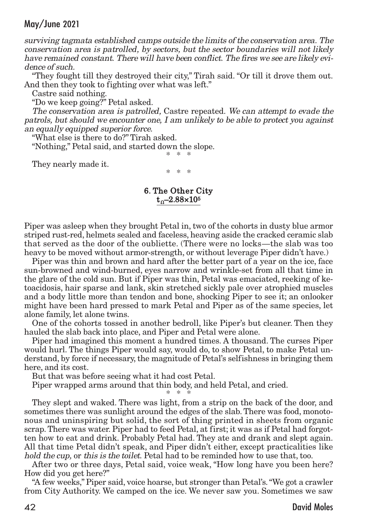surviving tagmata established camps outside the limits of the conservation area. The conservation area is patrolled, by sectors, but the sector boundaries will not likely have remained constant. There will have been conflict. The fires we see are likely evidence of such.

"They fought till they destroyed their city," Tirah said. "Or till it drove them out. And then they took to fighting over what was left."

Castre said nothing.

"Do we keep going?" Petal asked.

The conservation area is patrolled, Castre repeated. We can attempt to evade the patrols, but should we encounter one, I am unlikely to be able to protect you against an equally equipped superior force.

"What else is there to do?" Tirah asked.

"Nothing," Petal said, and started down the slope. \* \* \*

They nearly made it.

\* \* \*

#### 6. The Other City  $t_0 - 2.88 \times 10^5$

Piper was asleep when they brought Petal in, two of the cohorts in dusty blue armor striped rust-red, helmets sealed and faceless, heaving aside the cracked ceramic slab that served as the door of the oubliette. (There were no locks—the slab was too heavy to be moved without armor-strength, or without leverage Piper didn't have.)

Piper was thin and brown and hard after the better part of a year on the ice, face sun-browned and wind-burned, eyes narrow and wrinkle-set from all that time in the glare of the cold sun. But if Piper was thin, Petal was emaciated, reeking of ketoacidosis, hair sparse and lank, skin stretched sickly pale over atrophied muscles and a body little more than tendon and bone, shocking Piper to see it; an onlooker might have been hard pressed to mark Petal and Piper as of the same species, let alone family, let alone twins.

One of the cohorts tossed in another bedroll, like Piper's but cleaner. Then they hauled the slab back into place, and Piper and Petal were alone.

Piper had imagined this moment a hundred times. A thousand. The curses Piper would hurl. The things Piper would say, would do, to show Petal, to make Petal understand, by force if necessary, the magnitude of Petal's selfishness in bringing them here, and its cost.

But that was before seeing what it had cost Petal.

Piper wrapped arms around that thin body, and held Petal, and cried.

\* \* \* They slept and waked. There was light, from a strip on the back of the door, and sometimes there was sunlight around the edges of the slab.There was food, monotonous and uninspiring but solid, the sort of thing printed in sheets from organic scrap.There was water. Piper had to feed Petal, at first; it was as if Petal had forgotten how to eat and drink. Probably Petal had. They ate and drank and slept again. All that time Petal didn't speak, and Piper didn't either, except practicalities like hold the cup, or this is the toilet. Petal had to be reminded how to use that, too.

After two or three days, Petal said, voice weak, "How long have you been here? How did you get here?"

"A few weeks," Piper said, voice hoarse, but stronger than Petal's."We got a crawler from City Authority. We camped on the ice. We never saw you. Sometimes we saw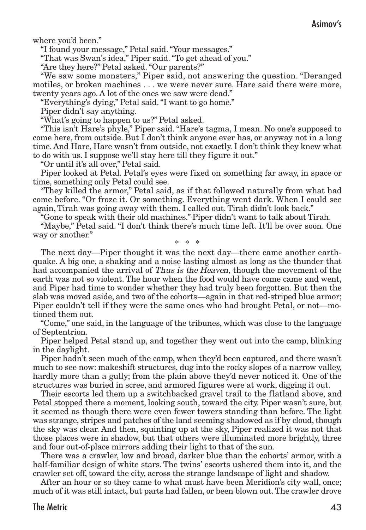where you'd been."

"I found your message," Petal said."Your messages."

"That was Swan's idea," Piper said."To get ahead of you."

"Are they here?" Petal asked."Our parents?"

"We saw some monsters," Piper said, not answering the question. "Deranged motiles, or broken machines . . . we were never sure. Hare said there were more, twenty years ago. A lot of the ones we saw were dead."

"Everything's dying," Petal said."I want to go home."

Piper didn't say anything.

"What's going to happen to us?" Petal asked.

"This isn't Hare's phyle," Piper said. "Hare's tagma, I mean. No one's supposed to come here, from outside. But I don't think anyone ever has, or anyway not in a long time. And Hare, Hare wasn't from outside, not exactly. I don't think they knew what to do with us. I suppose we'll stay here till they figure it out."

"Or until it's all over," Petal said.

Piper looked at Petal. Petal's eyes were fixed on something far away, in space or time, something only Petal could see.

"They killed the armor," Petal said, as if that followed naturally from what had come before. "Or froze it. Or something. Everything went dark. When I could see again, Tirah was going away with them. I called out. Tirah didn't look back."

"Gone to speak with their old machines." Piper didn't want to talk about Tirah.

"Maybe," Petal said. "I don't think there's much time left. It'll be over soon. One way or another."

\* \* \*

The next day—Piper thought it was the next day—there came another earthquake. A big one, a shaking and a noise lasting almost as long as the thunder that had accompanied the arrival of Thus is the Heaven, though the movement of the earth was not so violent. The hour when the food would have come came and went, and Piper had time to wonder whether they had truly been forgotten. But then the slab was moved aside, and two of the cohorts—again in that red-striped blue armor; Piper couldn't tell if they were the same ones who had brought Petal, or not—motioned them out.

"Come," one said, in the language of the tribunes, which was close to the language of Septentrion.

Piper helped Petal stand up, and together they went out into the camp, blinking in the daylight.

Piper hadn't seen much of the camp, when they'd been captured, and there wasn't much to see now: makeshift structures, dug into the rocky slopes of a narrow valley, hardly more than a gully; from the plain above they'd never noticed it. One of the structures was buried in scree, and armored figures were at work, digging it out.

Their escorts led them up a switchbacked gravel trail to the flatland above, and Petal stopped there a moment, looking south, toward the city. Piper wasn't sure, but it seemed as though there were even fewer towers standing than before. The light was strange, stripes and patches of the land seeming shadowed as if by cloud, though the sky was clear. And then, squinting up at the sky, Piper realized it was not that those places were in shadow, but that others were illuminated more brightly, three and four out-of-place mirrors adding their light to that of the sun.

There was a crawler, low and broad, darker blue than the cohorts' armor, with a half-familiar design of white stars. The twins' escorts ushered them into it, and the crawler set off, toward the city, across the strange landscape of light and shadow.

After an hour or so they came to what must have been Meridion's city wall, once; much of it was still intact, but parts had fallen, or been blown out.The crawler drove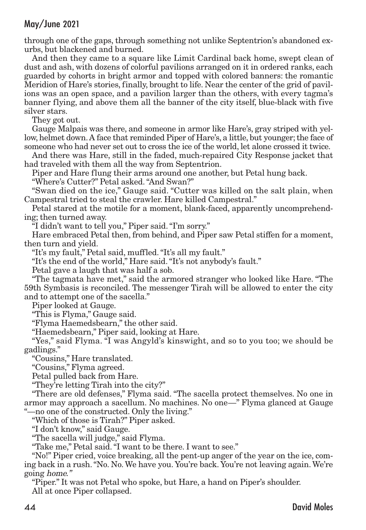through one of the gaps, through something not unlike Septentrion's abandoned exurbs, but blackened and burned.

And then they came to a square like Limit Cardinal back home, swept clean of dust and ash, with dozens of colorful pavilions arranged on it in ordered ranks, each guarded by cohorts in bright armor and topped with colored banners: the romantic Meridion of Hare's stories, finally, brought to life. Near the center of the grid of pavilions was an open space, and a pavilion larger than the others, with every tagma's banner flying, and above them all the banner of the city itself, blue-black with five silver stars.

They got out.

Gauge Malpais was there, and someone in armor like Hare's, gray striped with yellow, helmet down.A face that reminded Piper of Hare's, a little, but younger;the face of someone who had never set out to cross the ice of the world, let alone crossed it twice.

And there was Hare, still in the faded, much-repaired City Response jacket that had traveled with them all the way from Septentrion.

Piper and Hare flung their arms around one another, but Petal hung back.

"Where's Cutter?" Petal asked."And Swan?"

"Swan died on the ice," Gauge said. "Cutter was killed on the salt plain, when Campestral tried to steal the crawler. Hare killed Campestral."

Petal stared at the motile for a moment, blank-faced, apparently uncomprehending; then turned away.

"I didn't want to tell you," Piper said."I'm sorry."

Hare embraced Petal then, from behind, and Piper saw Petal stiffen for a moment, then turn and yield.

"It's my fault," Petal said, muffled."It's all my fault."

"It's the end of the world," Hare said."It's not anybody's fault."

Petal gave a laugh that was half a sob.

"The tagmata have met," said the armored stranger who looked like Hare. "The 59th Symbasis is reconciled. The messenger Tirah will be allowed to enter the city and to attempt one of the sacella."

Piper looked at Gauge.

"This is Flyma," Gauge said.

"Flyma Haemedsbearn," the other said.

"Haemedsbearn," Piper said, looking at Hare.

"Yes," said Flyma. "I was Angyld's kinswight, and so to you too; we should be gadlings."

"Cousins," Hare translated.

"Cousins," Flyma agreed.

Petal pulled back from Hare.

"They're letting Tirah into the city?"

"There are old defenses," Flyma said. "The sacella protect themselves. No one in armor may approach a sacellum. No machines. No one—" Flyma glanced at Gauge "—no one of the constructed. Only the living."

"Which of those is Tirah?" Piper asked.

"I don't know," said Gauge.

"The sacella will judge," said Flyma.

"Take me," Petal said."I want to be there. I want to see."

"No!" Piper cried, voice breaking, all the pent-up anger of the year on the ice, coming back in a rush."No. No.We have you. You're back. You're not leaving again.We're going home."

"Piper." It was not Petal who spoke, but Hare, a hand on Piper's shoulder. All at once Piper collapsed.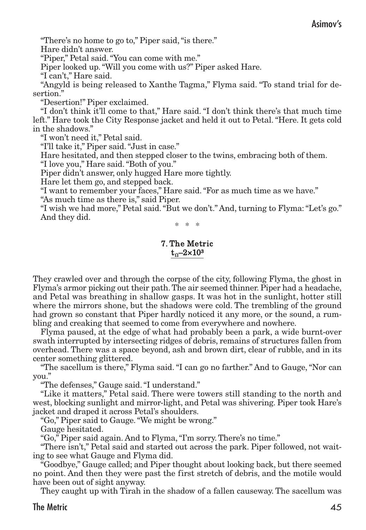#### Asimov's

"There's no home to go to," Piper said, "is there."

Hare didn't answer.

"Piper," Petal said."You can come with me."

Piper looked up."Will you come with us?" Piper asked Hare.

"I can't," Hare said.

"Angyld is being released to Xanthe Tagma," Flyma said. "To stand trial for desertion."

"Desertion!" Piper exclaimed.

"I don't think it'll come to that," Hare said. "I don't think there's that much time left." Hare took the City Response jacket and held it out to Petal."Here. It gets cold in the shadows."

"I won't need it," Petal said.

"I'll take it," Piper said."Just in case."

Hare hesitated, and then stepped closer to the twins, embracing both of them.

"I love you," Hare said."Both of you."

Piper didn't answer, only hugged Hare more tightly.

Hare let them go, and stepped back.

"I want to remember your faces," Hare said."For as much time as we have."

"As much time as there is," said Piper.

"I wish we had more," Petal said."But we don't." And, turning to Flyma:"Let's go." And they did.

\* \* \*

#### 7. The Metric  $t_0$ –2×10<sup>3</sup>

They crawled over and through the corpse of the city, following Flyma, the ghost in Flyma's armor picking out their path.The air seemed thinner. Piper had a headache, and Petal was breathing in shallow gasps. It was hot in the sunlight, hotter still where the mirrors shone, but the shadows were cold. The trembling of the ground had grown so constant that Piper hardly noticed it any more, or the sound, a rumbling and creaking that seemed to come from everywhere and nowhere.

Flyma paused, at the edge of what had probably been a park, a wide burnt-over swath interrupted by intersecting ridges of debris, remains of structures fallen from overhead. There was a space beyond, ash and brown dirt, clear of rubble, and in its center something glittered.

"The sacellum is there," Flyma said."I can go no farther." And to Gauge,"Nor can you."

"The defenses," Gauge said."I understand."

"Like it matters," Petal said. There were towers still standing to the north and west, blocking sunlight and mirror-light, and Petal was shivering. Piper took Hare's jacket and draped it across Petal's shoulders.

"Go," Piper said to Gauge."We might be wrong."

Gauge hesitated.

"Go," Piper said again. And to Flyma,"I'm sorry. There's no time."

"There isn't," Petal said and started out across the park. Piper followed, not waiting to see what Gauge and Flyma did.

"Goodbye," Gauge called; and Piper thought about looking back, but there seemed no point. And then they were past the first stretch of debris, and the motile would have been out of sight anyway.

They caught up with Tirah in the shadow of a fallen causeway. The sacellum was

#### The Metric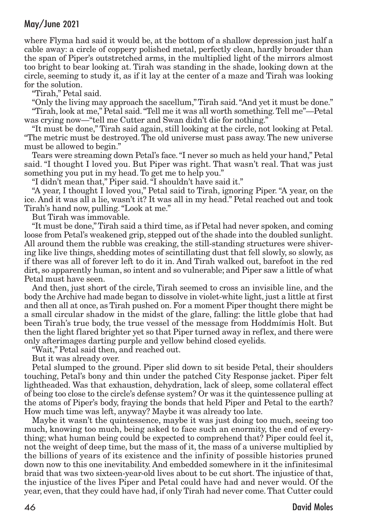where Flyma had said it would be, at the bottom of a shallow depression just half a cable away: a circle of coppery polished metal, perfectly clean, hardly broader than the span of Piper's outstretched arms, in the multiplied light of the mirrors almost too bright to bear looking at. Tirah was standing in the shade, looking down at the circle, seeming to study it, as if it lay at the center of a maze and Tirah was looking for the solution.

"Tirah," Petal said.

"Only the living may approach the sacellum,"Tirah said."And yet it must be done." "Tirah, look at me," Petal said."Tell me it was all worth something.Tell me"—Petal was crying now—"tell me Cutter and Swan didn't die for nothing."

"It must be done," Tirah said again, still looking at the circle, not looking at Petal. "The metric must be destroyed. The old universe must pass away. The new universe must be allowed to begin."

Tears were streaming down Petal's face."I never so much as held your hand," Petal said. "I thought I loved you. But Piper was right. That wasn't real. That was just something you put in my head. To get me to help you."

"I didn't mean that," Piper said."I shouldn't have said it."

"A year, I thought I loved you," Petal said to Tirah, ignoring Piper. "A year, on the ice. And it was all a lie, wasn't it? It was all in my head." Petal reached out and took Tirah's hand now, pulling."Look at me."

But Tirah was immovable.

"It must be done,"Tirah said a third time, as if Petal had never spoken, and coming loose from Petal's weakened grip, stepped out of the shade into the doubled sunlight. All around them the rubble was creaking, the still-standing structures were shivering like live things, shedding motes of scintillating dust that fell slowly, so slowly, as if there was all of forever left to do it in. And Tirah walked out, barefoot in the red dirt, so apparently human, so intent and so vulnerable; and Piper saw a little of what Petal must have seen.

And then, just short of the circle, Tirah seemed to cross an invisible line, and the body the Archive had made began to dissolve in violet-white light, just a little at first and then all at once, as Tirah pushed on. For a moment Piper thought there might be a small circular shadow in the midst of the glare, falling: the little globe that had been Tirah's true body, the true vessel of the message from Hoddmímis Holt. But then the light flared brighter yet so that Piper turned away in reflex, and there were only afterimages darting purple and yellow behind closed eyelids.

"Wait," Petal said then, and reached out.

But it was already over.

Petal slumped to the ground. Piper slid down to sit beside Petal, their shoulders touching, Petal's bony and thin under the patched City Response jacket. Piper felt lightheaded. Was that exhaustion, dehydration, lack of sleep, some collateral effect of being too close to the circle's defense system? Or was it the quintessence pulling at the atoms of Piper's body, fraying the bonds that held Piper and Petal to the earth? How much time was left, anyway? Maybe it was already too late.

Maybe it wasn't the quintessence, maybe it was just doing too much, seeing too much, knowing too much, being asked to face such an enormity, the end of everything; what human being could be expected to comprehend that? Piper could feel it, not the weight of deep time, but the mass of it, the mass of a universe multiplied by the billions of years of its existence and the infinity of possible histories pruned down now to this one inevitability. And embedded somewhere in it the infinitesimal braid that was two sixteen-year-old lives about to be cut short. The injustice of that, the injustice of the lives Piper and Petal could have had and never would. Of the year, even, that they could have had, if only Tirah had never come. That Cutter could